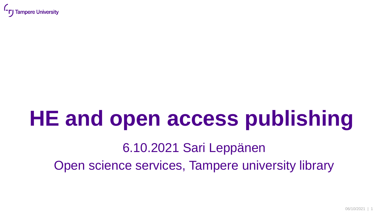

# **HE and open access publishing**

### 6.10.2021 Sari Leppänen Open science services, Tampere university library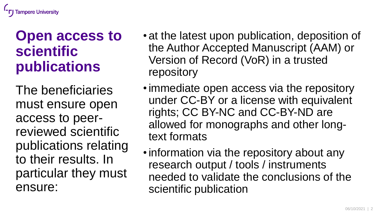### **Open access to scientific publications**

The beneficiaries must ensure open access to peerreviewed scientific publications relating to their results. In particular they must ensure:

- at the latest upon publication, deposition of the Author Accepted Manuscript (AAM) or Version of Record (VoR) in a trusted repository
- immediate open access via the repository under CC-BY or a license with equivalent rights; CC BY-NC and CC-BY-ND are allowed for monographs and other longtext formats
- information via the repository about any research output / tools / instruments needed to validate the conclusions of the scientific publication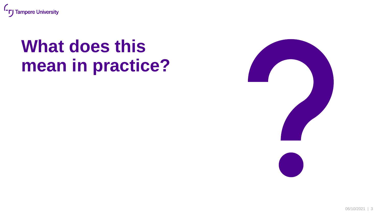

# **What does this mean in practice?**

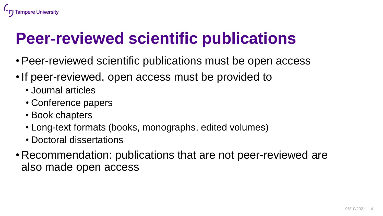# **Peer-reviewed scientific publications**

- •Peer-reviewed scientific publications must be open access
- If peer-reviewed, open access must be provided to
	- Journal articles

**Tampere University** 

- Conference papers
- Book chapters
- Long-text formats (books, monographs, edited volumes)
- Doctoral dissertations
- Recommendation: publications that are not peer-reviewed are also made open access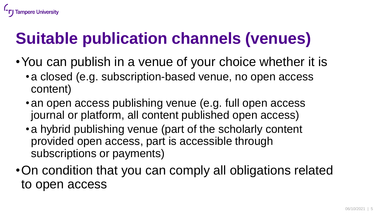# **Suitable publication channels (venues)**

**Tampere University** 

- •You can publish in a venue of your choice whether it is
	- •a closed (e.g. subscription-based venue, no open access content)
	- an open access publishing venue (e.g. full open access journal or platform, all content published open access)
	- •a hybrid publishing venue (part of the scholarly content provided open access, part is accessible through subscriptions or payments)
- •On condition that you can comply all obligations related to open access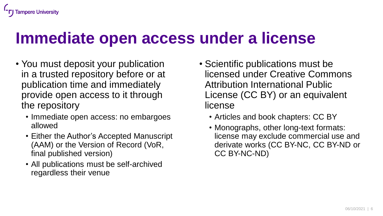#### **Tampere University**

### **Immediate open access under a license**

- You must deposit your publication in a trusted repository before or at publication time and immediately provide open access to it through the repository
	- Immediate open access: no embargoes allowed
	- Either the Author's Accepted Manuscript (AAM) or the Version of Record (VoR, final published version)
	- All publications must be self-archived regardless their venue
- Scientific publications must be licensed under Creative Commons Attribution International Public License (CC BY) or an equivalent license
	- Articles and book chapters: CC BY
	- Monographs, other long-text formats: license may exclude commercial use and derivate works (CC BY-NC, CC BY-ND or CC BY-NC-ND)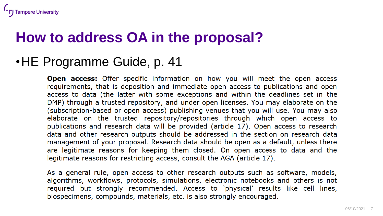### **How to address OA in the proposal?**

#### •HE Programme Guide, p. 41

**Tampere University** 

**Open access:** Offer specific information on how you will meet the open access requirements, that is deposition and immediate open access to publications and open access to data (the latter with some exceptions and within the deadlines set in the DMP) through a trusted repository, and under open licenses. You may elaborate on the (subscription-based or open access) publishing venues that you will use. You may also elaborate on the trusted repository/repositories through which open access to publications and research data will be provided (article 17). Open access to research data and other research outputs should be addressed in the section on research data management of your proposal. Research data should be open as a default, unless there are legitimate reasons for keeping them closed. On open access to data and the legitimate reasons for restricting access, consult the AGA (article 17).

As a general rule, open access to other research outputs such as software, models, algorithms, workflows, protocols, simulations, electronic notebooks and others is not required but strongly recommended. Access to 'physical' results like cell lines, biospecimens, compounds, materials, etc. is also strongly encouraged.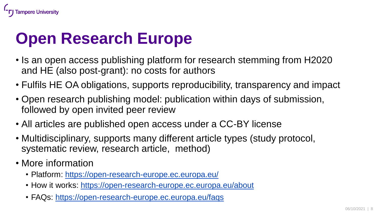

### **Open Research Europe**

- Is an open access publishing platform for research stemming from H2020 and HE (also post-grant): no costs for authors
- Fulfils HE OA obligations, supports reproducibility, transparency and impact
- Open research publishing model: publication within days of submission, followed by open invited peer review
- All articles are published open access under a CC-BY license
- Multidisciplinary, supports many different article types (study protocol, systematic review, research article, method)
- More information
	- Platform:<https://open-research-europe.ec.europa.eu/>
	- How it works:<https://open-research-europe.ec.europa.eu/about>
	- FAQs: <https://open-research-europe.ec.europa.eu/faqs>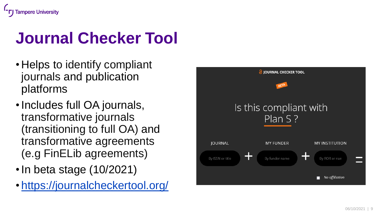# **Journal Checker Tool**

- Helps to identify compliant journals and publication platforms
- •Includes full OA journals, transformative journals (transitioning to full OA) and transformative agreements (e.g FinELib agreements)
- In beta stage (10/2021)
- <https://journalcheckertool.org/>

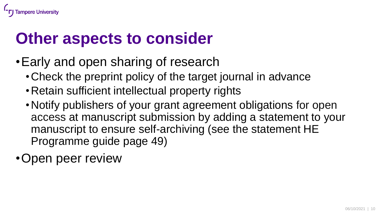

### **Other aspects to consider**

- •Early and open sharing of research
	- •Check the preprint policy of the target journal in advance
	- •Retain sufficient intellectual property rights
	- •Notify publishers of your grant agreement obligations for open access at manuscript submission by adding a statement to your manuscript to ensure self-archiving (see the statement HE Programme guide page 49)

•Open peer review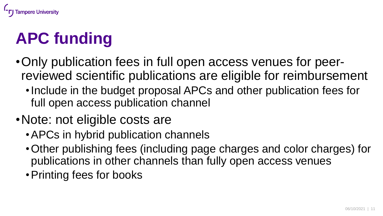

# **APC funding**

- •Only publication fees in full open access venues for peerreviewed scientific publications are eligible for reimbursement
	- •Include in the budget proposal APCs and other publication fees for full open access publication channel
- Note: not eligible costs are
	- APCs in hybrid publication channels
	- •Other publishing fees (including page charges and color charges) for publications in other channels than fully open access venues
	- •Printing fees for books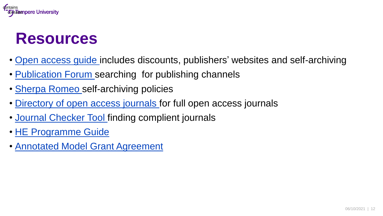

### **Resources**

- [Open access guide](https://libguides.tuni.fi/open-access/introduction) includes discounts, publishers' websites and self-archiving
- [Publication Forum s](https://jfp.csc.fi/en/web/haku/julkaisukanavahaku)earching for publishing channels
- [Sherpa Romeo s](https://v2.sherpa.ac.uk/romeo/)elf-archiving policies
- [Directory of open access journals](https://doaj.org/) for full open access journals
- [Journal Checker Tool f](https://journalcheckertool.org/)inding complient journals
- [HE Programme](https://www.google.fi/url?sa=t&rct=j&q=&esrc=s&source=web&cd=&ved=2ahUKEwiQye_M8qjzAhVySfEDHXOMCpIQFnoECAYQAQ&url=https%3A%2F%2Fec.europa.eu%2Finfo%2Ffunding-tenders%2Fopportunities%2Fdocs%2F2021-2027%2Fhorizon%2Fguidance%2Fprogramme-guide_horizon_en.pdf&usg=AOvVaw3-C9OzY07N4jZCkOLk9oDI) Guide
- Annotated Model [Grant Agreement](https://ec.europa.eu/info/funding-tenders/opportunities/docs/2021-2027/common/guidance/aga_en.pdf)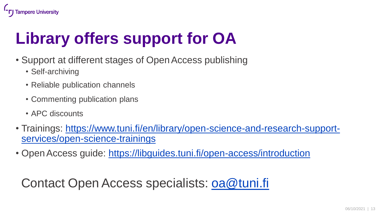

# **Library offers support for OA**

- Support at different stages of Open Access publishing
	- Self-archiving
	- Reliable publication channels
	- Commenting publication plans
	- APC discounts
- [Trainings: https://www.tuni.fi/en/library/open-science-and-research-support](https://www.tuni.fi/en/library/open-science-and-research-support-services/open-science-trainings)services/open-science-trainings
- Open Access guide: <https://libguides.tuni.fi/open-access/introduction>

#### Contact Open Access specialists: [oa@tuni.fi](mailto:oa@tuni.fi)